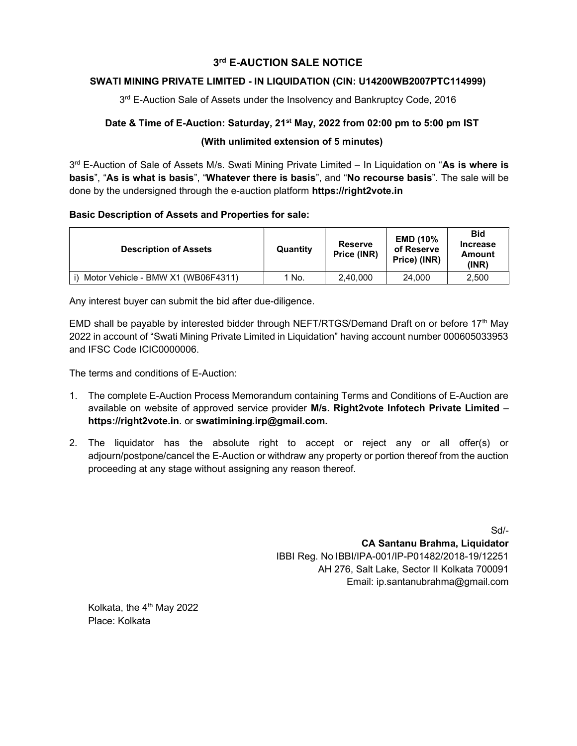### 3 rd E-AUCTION SALE NOTICE

### SWATI MINING PRIVATE LIMITED - IN LIQUIDATION (CIN: U14200WB2007PTC114999)

3<sup>rd</sup> E-Auction Sale of Assets under the Insolvency and Bankruptcy Code, 2016

### Date & Time of E-Auction: Saturday, 21<sup>st</sup> May, 2022 from 02:00 pm to 5:00 pm IST

### (With unlimited extension of 5 minutes)

3<sup>rd</sup> E-Auction of Sale of Assets M/s. Swati Mining Private Limited – In Liquidation on "As is where is basis", "As is what is basis", "Whatever there is basis", and "No recourse basis". The sale will be done by the undersigned through the e-auction platform **https://right2vote.in** 

### Basic Description of Assets and Properties for sale:

| <b>Description of Assets</b>       | Quantity | <b>Reserve</b><br>Price (INR) | <b>EMD (10%</b><br>of Reserve<br>Price) (INR) | <b>Bid</b><br><b>Increase</b><br>Amount<br>(INR) |
|------------------------------------|----------|-------------------------------|-----------------------------------------------|--------------------------------------------------|
| Motor Vehicle - BMW X1 (WB06F4311) | 1 No.    | 2,40,000                      | 24,000                                        | 2,500                                            |

Any interest buyer can submit the bid after due-diligence.

EMD shall be payable by interested bidder through NEFT/RTGS/Demand Draft on or before  $17<sup>th</sup>$  May 2022 in account of "Swati Mining Private Limited in Liquidation" having account number 000605033953 and IFSC Code ICIC0000006.

The terms and conditions of E-Auction:

- 1. The complete E-Auction Process Memorandum containing Terms and Conditions of E-Auction are available on website of approved service provider M/s. Right2vote Infotech Private Limited – https://right2vote.in. or swatimining.irp@gmail.com.
- 2. The liquidator has the absolute right to accept or reject any or all offer(s) or adjourn/postpone/cancel the E-Auction or withdraw any property or portion thereof from the auction proceeding at any stage without assigning any reason thereof.

Sd/- CA Santanu Brahma, Liquidator IBBI Reg. No IBBI/IPA-001/IP-P01482/2018-19/12251 AH 276, Salt Lake, Sector II Kolkata 700091 Email: ip.santanubrahma@gmail.com

Kolkata, the  $4<sup>th</sup>$  May 2022 Place: Kolkata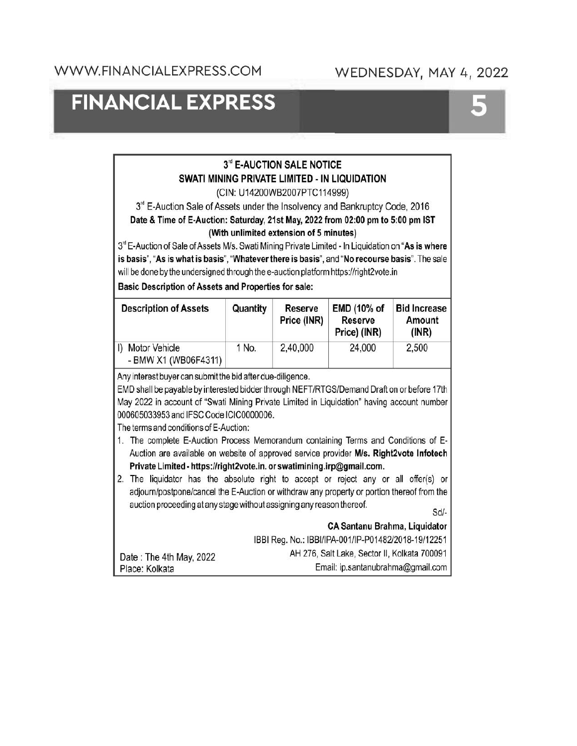WWW.FINANCIALEXPRESS.COM

## WEDNESDAY, MAY 4, 2022

# **FINANCIAL EXPRESS**

## 3<sup>rd</sup> E-AUCTION SALE NOTICE **SWATI MINING PRIVATE LIMITED - IN LIQUIDATION**

(CIN: U14200WB2007PTC114999)

3<sup>rd</sup> E-Auction Sale of Assets under the Insolvency and Bankruptcy Code, 2016 Date & Time of E-Auction: Saturday, 21st May, 2022 from 02:00 pm to 5:00 pm IST (With unlimited extension of 5 minutes)

3<sup>rd</sup> E-Auction of Sale of Assets M/s. Swati Mining Private Limited - In Liquidation on "As is where is basis", "As is what is basis", "Whatever there is basis", and "No recourse basis". The sale will be done by the undersigned through the e-auction platform https://right2vote.in

**Basic Description of Assets and Properties for sale:** 

| <b>Description of Assets</b>             | Quantity | <b>Reserve</b><br>Price (INR) | EMD (10% of<br>Reserve<br>Price) (INR) | <b>Bid Increase</b><br>Amount<br>(INR) |
|------------------------------------------|----------|-------------------------------|----------------------------------------|----------------------------------------|
| I) Motor Vehicle<br>- BMW X1 (WB06F4311) | 1 No.    | 2,40,000                      | 24,000                                 | 2,500                                  |

Any interest buyer can submit the bid after due-diligence.

EMD shall be payable by interested bidder through NEFT/RTGS/Demand Draft on or before 17th May 2022 in account of "Swati Mining Private Limited in Liquidation" having account number 000605033953 and IFSC Code ICIC0000006.

The terms and conditions of E-Auction:

Date: The 4th May, 2022

Place: Kolkata

- 1. The complete E-Auction Process Memorandum containing Terms and Conditions of E-Auction are available on website of approved service provider M/s. Right2vote Infotech Private Limited - https://right2vote.in. or swatimining.irp@gmail.com.
- 2. The liquidator has the absolute right to accept or reject any or all offer(s) or adjourn/postpone/cancel the E-Auction or withdraw any property or portion thereof from the auction proceeding at any stage without assigning any reason thereof.

Sd/-

**CA Santanu Brahma, Liquidator** IBBI Reg. No.: IBBI/IPA-001/IP-P01482/2018-19/12251 AH 276, Salt Lake, Sector II, Kolkata 700091

Email: ip.santanubrahma@gmail.com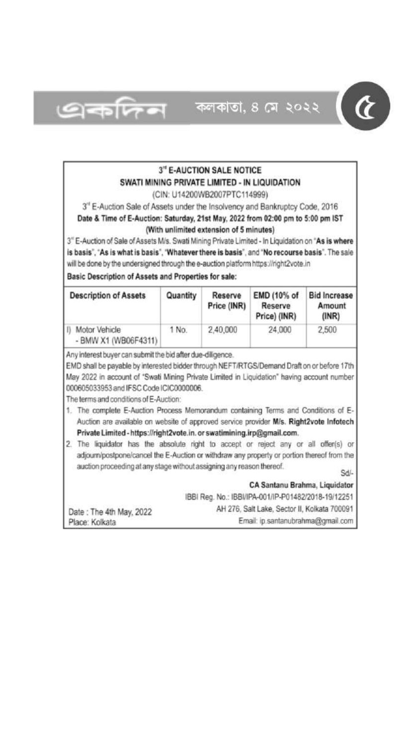

কলকাতা, ৪ মে ২০২২



### 3<sup>rd</sup> F-AUCTION SALE NOTICE SWATI MINING PRIVATE LIMITED - IN LIQUIDATION

(CIN: U14200WB2007PTC114999)

3<sup>rt</sup> E-Auction Sale of Assets under the Insolvency and Bankruptcy Code, 2016 Date & Time of E-Auction: Saturday, 21st May, 2022 from 02:00 pm to 5:00 pm IST (With unlimited extension of 5 minutes)

3" E-Auction of Sale of Assets M/s. Swati Mining Private Limited - In Liquidation on "As is where is basis", "As is what is basis", "Whatever there is basis", and "No recourse basis". The sale will be done by the undersigned through the e-auction platform https://right2vote.in

### Basic Description of Assets and Properties for sale:

| <b>Description of Assets</b>               | Quantity | Reserve<br>Price (INR) | EMD (10% of<br>Reserve<br>Price) (INR) | <b>Bid Increase</b><br>Amount<br>(INR) |
|--------------------------------------------|----------|------------------------|----------------------------------------|----------------------------------------|
| Motor Vehicle<br>Ð<br>- BMW X1 (WB06F4311) | 1 No.    | 2.40.000               | 24,000                                 | 2,500                                  |

Any interest buyer can submit the bid after due-diligence.

EMD shall be payable by interested bidder through NEFT/RTGS/Demand Draft on or before 17th May 2022 in account of "Swati Mining Private Limited in Liquidation" having account number 000605033953 and IFSC Code ICIC0000006.

The terms and conditions of E-Auction:

- 1. The complete E-Auction Process Memorandum containing Terms and Conditions of E-Auction are available on website of approved service provider M/s. Right2vote Infotech Private Limited - https://right2vote.in. or swatimining.irp@gmail.com.
- 2. The liquidator has the absolute right to accept or reject any or all offer(s) or adjourn/postpone/cancel the E-Auction or withdraw any property or portion thereof from the auction proceeding at any stage without assigning any reason thereof. SAL

CA Santanu Brahma, Liquidator

IBBI Reg. No.: IBBI/IPA-001/IP-P01482/2018-19/12251 AH 276, Salt Lake, Sector II, Kolkata 700091

Date: The 4th May, 2022 Place: Kolkata

Email: ip.santanubrahma@gmail.com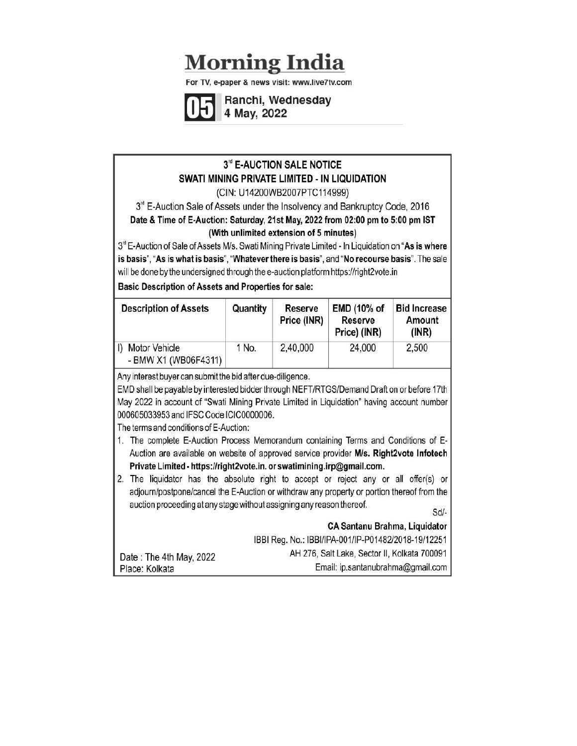# **Morning India**

For TV, e-paper & news visit: www.live7tv.com

Ranchi, Wednesday 4 May, 2022

### 3<sup>rd</sup> E-AUCTION SALE NOTICE **SWATI MINING PRIVATE LIMITED - IN LIQUIDATION**

(CIN: U14200WB2007PTC114999)

3<sup>rd</sup> E-Auction Sale of Assets under the Insolvency and Bankruptcy Code, 2016 Date & Time of E-Auction: Saturday, 21st May, 2022 from 02:00 pm to 5:00 pm IST (With unlimited extension of 5 minutes)

3<sup>rd</sup> E-Auction of Sale of Assets M/s. Swati Mining Private Limited - In Liquidation on "As is where is basis", "As is what is basis", "Whatever there is basis", and "No recourse basis". The sale will be done by the undersigned through the e-auction platform https://right2vote.in

**Basic Description of Assets and Properties for sale:** 

| <b>Description of Assets</b>             | Quantity | <b>Reserve</b><br>Price (INR) | EMD (10% of<br>Reserve<br>Price) (INR) | <b>Bid Increase</b><br>Amount<br>(INR) |
|------------------------------------------|----------|-------------------------------|----------------------------------------|----------------------------------------|
| I) Motor Vehicle<br>- BMW X1 (WB06F4311) | 1 No.    | 2,40,000                      | 24,000                                 | 2,500                                  |

Any interest buyer can submit the bid after due-diligence.

EMD shall be payable by interested bidder through NEFT/RTGS/Demand Draft on or before 17th May 2022 in account of "Swati Mining Private Limited in Liquidation" having account number 000605033953 and IFSC Code ICIC0000006.

The terms and conditions of E-Auction:

- 1. The complete E-Auction Process Memorandum containing Terms and Conditions of E-Auction are available on website of approved service provider M/s. Right2vote Infotech Private Limited - https://right2vote.in. or swatimining.irp@gmail.com.
- 2. The liquidator has the absolute right to accept or reject any or all offer(s) or adjourn/postpone/cancel the E-Auction or withdraw any property or portion thereof from the auction proceeding at any stage without assigning any reason thereof.

Sd/-

**CA Santanu Brahma, Liquidator** IBBI Reg. No.: IBBI/IPA-001/IP-P01482/2018-19/12251 AH 276, Salt Lake, Sector II, Kolkata 700091

Date: The 4th May, 2022 Place: Kolkata

Email: ip.santanubrahma@gmail.com